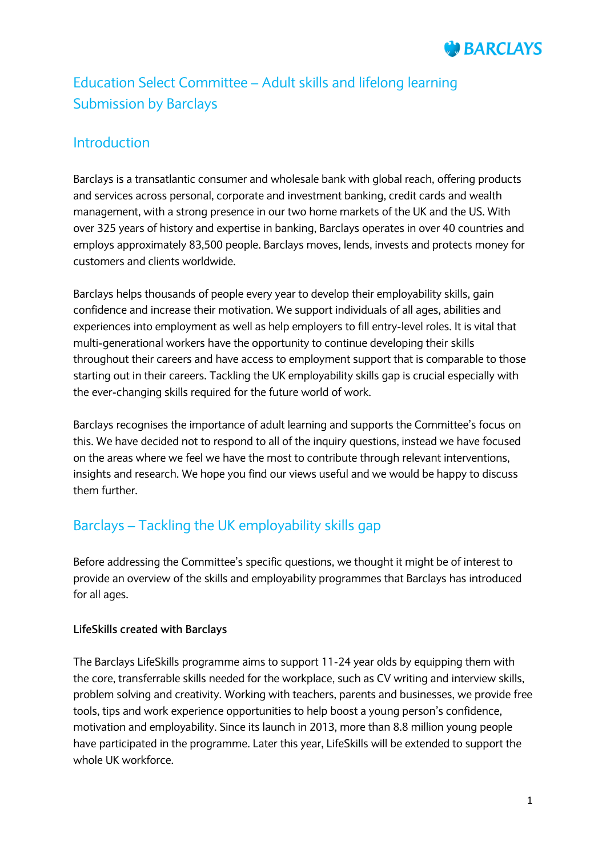

# Education Select Committee – Adult skills and lifelong learning Submission by Barclays

# Introduction

Barclays is a transatlantic consumer and wholesale bank with global reach, offering products and services across personal, corporate and investment banking, credit cards and wealth management, with a strong presence in our two home markets of the UK and the US. With over 325 years of history and expertise in banking, Barclays operates in over 40 countries and employs approximately 83,500 people. Barclays moves, lends, invests and protects money for customers and clients worldwide.

Barclays helps thousands of people every year to develop their employability skills, gain confidence and increase their motivation. We support individuals of all ages, abilities and experiences into employment as well as help employers to fill entry-level roles. It is vital that multi-generational workers have the opportunity to continue developing their skills throughout their careers and have access to employment support that is comparable to those starting out in their careers. Tackling the UK employability skills gap is crucial especially with the ever-changing skills required for the future world of work.

Barclays recognises the importance of adult learning and supports the Committee's focus on this. We have decided not to respond to all of the inquiry questions, instead we have focused on the areas where we feel we have the most to contribute through relevant interventions, insights and research. We hope you find our views useful and we would be happy to discuss them further.

# Barclays – Tackling the UK employability skills gap

Before addressing the Committee's specific questions, we thought it might be of interest to provide an overview of the skills and employability programmes that Barclays has introduced for all ages.

## **LifeSkills created with Barclays**

The Barclays LifeSkills programme aims to support 11-24 year olds by equipping them with the core, transferrable skills needed for the workplace, such as CV writing and interview skills, problem solving and creativity. Working with teachers, parents and businesses, we provide free tools, tips and work experience opportunities to help boost a young person's confidence, motivation and employability. Since its launch in 2013, more than 8.8 million young people have participated in the programme. Later this year, LifeSkills will be extended to support the whole UK workforce.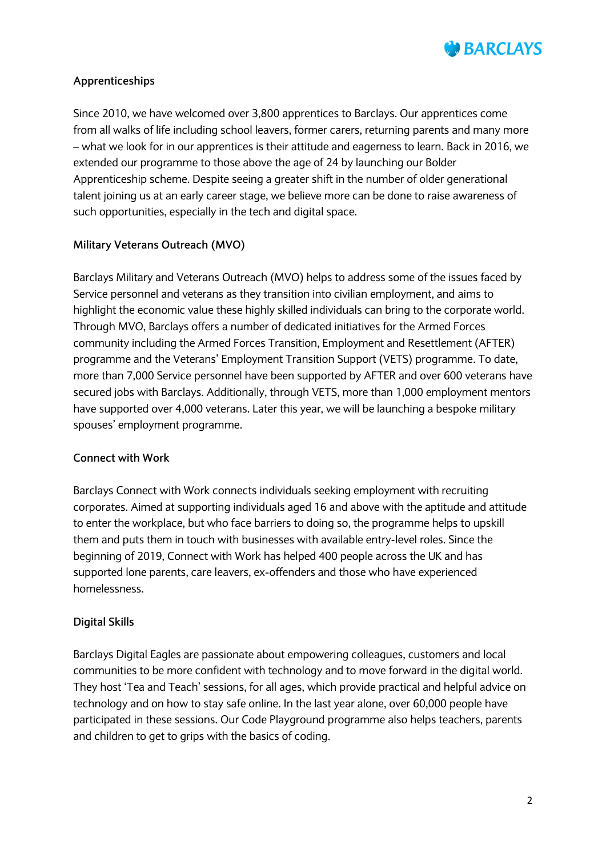

## **Apprenticeships**

Since 2010, we have welcomed over 3,800 apprentices to Barclays. Our apprentices come from all walks of life including school leavers, former carers, returning parents and many more – what we look for in our apprentices is their attitude and eagerness to learn. Back in 2016, we extended our programme to those above the age of 24 by launching our Bolder Apprenticeship scheme. Despite seeing a greater shift in the number of older generational talent joining us at an early career stage, we believe more can be done to raise awareness of such opportunities, especially in the tech and digital space.

#### **Military Veterans Outreach (MVO)**

Barclays Military and Veterans Outreach (MVO) helps to address some of the issues faced by Service personnel and veterans as they transition into civilian employment, and aims to highlight the economic value these highly skilled individuals can bring to the corporate world. Through MVO, Barclays offers a number of dedicated initiatives for the Armed Forces community including the Armed Forces Transition, Employment and Resettlement (AFTER) programme and the Veterans' Employment Transition Support (VETS) programme. To date, more than 7,000 Service personnel have been supported by AFTER and over 600 veterans have secured jobs with Barclays. Additionally, through VETS, more than 1,000 employment mentors have supported over 4,000 veterans. Later this year, we will be launching a bespoke military spouses' employment programme.

#### **Connect with Work**

Barclays Connect with Work connects individuals seeking employment with recruiting corporates. Aimed at supporting individuals aged 16 and above with the aptitude and attitude to enter the workplace, but who face barriers to doing so, the programme helps to upskill them and puts them in touch with businesses with available entry-level roles. Since the beginning of 2019, Connect with Work has helped 400 people across the UK and has supported lone parents, care leavers, ex-offenders and those who have experienced homelessness.

#### **Digital Skills**

Barclays Digital Eagles are passionate about empowering colleagues, customers and local communities to be more confident with technology and to move forward in the digital world. They host 'Tea and Teach' sessions, for all ages, which provide practical and helpful advice on technology and on how to stay safe online. In the last year alone, over 60,000 people have participated in these sessions. Our Code Playground programme also helps teachers, parents and children to get to grips with the basics of coding.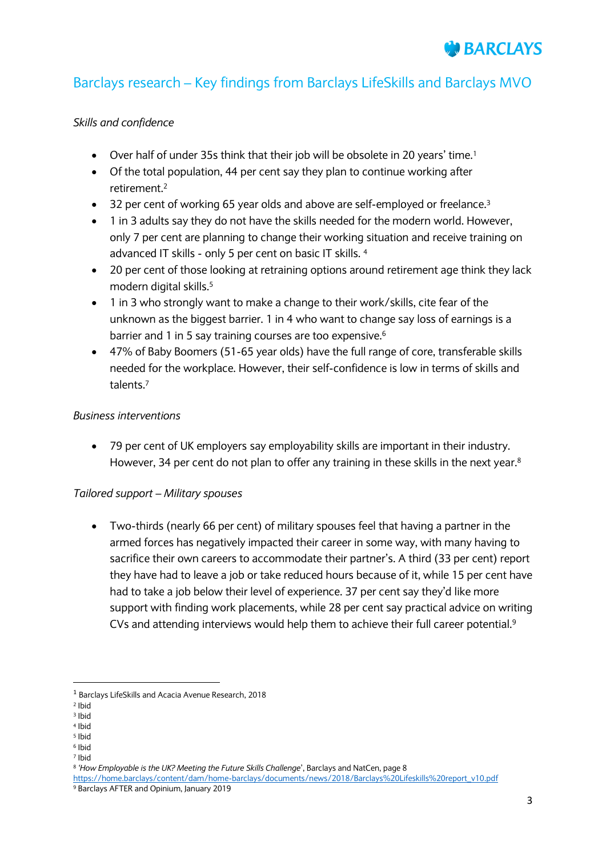# Barclays research – Key findings from Barclays LifeSkills and Barclays MVO

## *Skills and confidence*

- Over half of under 35s think that their job will be obsolete in 20 years' time.<sup>1</sup>
- Of the total population, 44 per cent say they plan to continue working after retirement.<sup>2</sup>
- 32 per cent of working 65 year olds and above are self-employed or freelance.<sup>3</sup>
- 1 in 3 adults say they do not have the skills needed for the modern world. However, only 7 per cent are planning to change their working situation and receive training on advanced IT skills - only 5 per cent on basic IT skills. 4
- 20 per cent of those looking at retraining options around retirement age think they lack modern digital skills.<sup>5</sup>
- 1 in 3 who strongly want to make a change to their work/skills, cite fear of the unknown as the biggest barrier. 1 in 4 who want to change say loss of earnings is a barrier and 1 in 5 say training courses are too expensive.<sup>6</sup>
- 47% of Baby Boomers (51-65 year olds) have the full range of core, transferable skills needed for the workplace. However, their self-confidence is low in terms of skills and talents.<sup>7</sup>

#### *Business interventions*

 79 per cent of UK employers say employability skills are important in their industry. However, 34 per cent do not plan to offer any training in these skills in the next year.<sup>8</sup>

#### *Tailored support – Military spouses*

 Two-thirds (nearly 66 per cent) of military spouses feel that having a partner in the armed forces has negatively impacted their career in some way, with many having to sacrifice their own careers to accommodate their partner's. A third (33 per cent) report they have had to leave a job or take reduced hours because of it, while 15 per cent have had to take a job below their level of experience. 37 per cent say they'd like more support with finding work placements, while 28 per cent say practical advice on writing CVs and attending interviews would help them to achieve their full career potential.<sup>9</sup>

**.** 

<sup>5</sup> Ibid

<sup>1</sup> Barclays LifeSkills and Acacia Avenue Research, 2018

<sup>2</sup> Ibid

<sup>3</sup> Ibid <sup>4</sup> Ibid

<sup>6</sup> Ibid

<sup>7</sup> Ibid

<sup>8</sup> *'How Employable is the UK? Meeting the Future Skills Challenge*', Barclays and NatCen, page 8

[https://home.barclays/content/dam/home-barclays/documents/news/2018/Barclays%20Lifeskills%20report\\_v10.pdf](https://home.barclays/content/dam/home-barclays/documents/news/2018/Barclays%20Lifeskills%20report_v10.pdf) <sup>9</sup> Barclays AFTER and Opinium, January 2019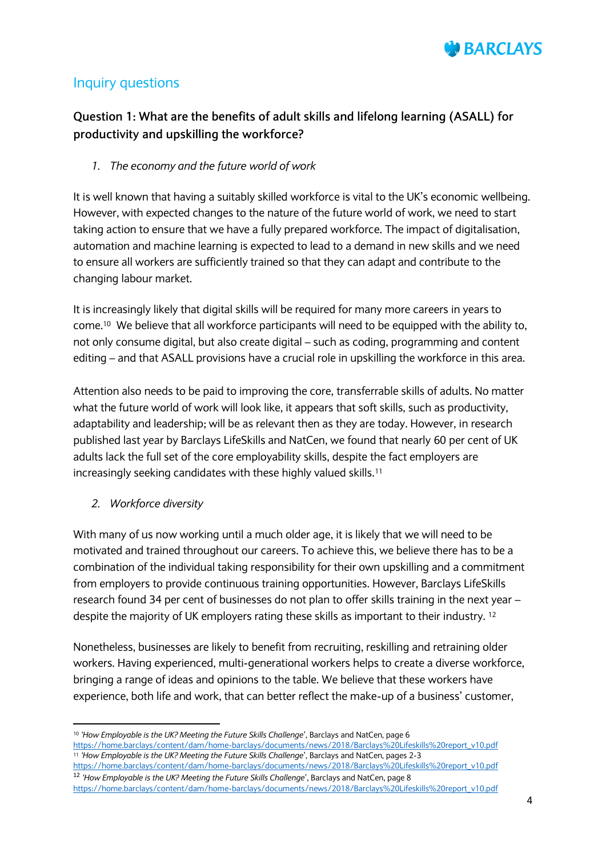

# Inquiry questions

# **Question 1: What are the benefits of adult skills and lifelong learning (ASALL) for productivity and upskilling the workforce?**

*1. The economy and the future world of work*

It is well known that having a suitably skilled workforce is vital to the UK's economic wellbeing. However, with expected changes to the nature of the future world of work, we need to start taking action to ensure that we have a fully prepared workforce. The impact of digitalisation, automation and machine learning is expected to lead to a demand in new skills and we need to ensure all workers are sufficiently trained so that they can adapt and contribute to the changing labour market.

It is increasingly likely that digital skills will be required for many more careers in years to come. <sup>10</sup> We believe that all workforce participants will need to be equipped with the ability to, not only consume digital, but also create digital – such as coding, programming and content editing – and that ASALL provisions have a crucial role in upskilling the workforce in this area.

Attention also needs to be paid to improving the core, transferrable skills of adults. No matter what the future world of work will look like, it appears that soft skills, such as productivity, adaptability and leadership; will be as relevant then as they are today. However, in research published last year by Barclays LifeSkills and NatCen, we found that nearly 60 per cent of UK adults lack the full set of the core employability skills, despite the fact employers are increasingly seeking candidates with these highly valued skills.<sup>11</sup>

#### *2. Workforce diversity*

1

With many of us now working until a much older age, it is likely that we will need to be motivated and trained throughout our careers. To achieve this, we believe there has to be a combination of the individual taking responsibility for their own upskilling and a commitment from employers to provide continuous training opportunities. However, Barclays LifeSkills research found 34 per cent of businesses do not plan to offer skills training in the next year – despite the majority of UK employers rating these skills as important to their industry. 12

Nonetheless, businesses are likely to benefit from recruiting, reskilling and retraining older workers. Having experienced, multi-generational workers helps to create a diverse workforce, bringing a range of ideas and opinions to the table. We believe that these workers have experience, both life and work, that can better reflect the make-up of a business' customer,

<sup>10</sup> *'How Employable is the UK? Meeting the Future Skills Challenge*', Barclays and NatCen, page 6

[https://home.barclays/content/dam/home-barclays/documents/news/2018/Barclays%20Lifeskills%20report\\_v10.pdf](https://home.barclays/content/dam/home-barclays/documents/news/2018/Barclays%20Lifeskills%20report_v10.pdf) <sup>11</sup> *'How Employable is the UK? Meeting the Future Skills Challenge*', Barclays and NatCen, pages 2-3

[https://home.barclays/content/dam/home-barclays/documents/news/2018/Barclays%20Lifeskills%20report\\_v10.pdf](https://home.barclays/content/dam/home-barclays/documents/news/2018/Barclays%20Lifeskills%20report_v10.pdf) <sup>12</sup> *'How Employable is the UK? Meeting the Future Skills Challenge*', Barclays and NatCen, page 8

[https://home.barclays/content/dam/home-barclays/documents/news/2018/Barclays%20Lifeskills%20report\\_v10.pdf](https://home.barclays/content/dam/home-barclays/documents/news/2018/Barclays%20Lifeskills%20report_v10.pdf)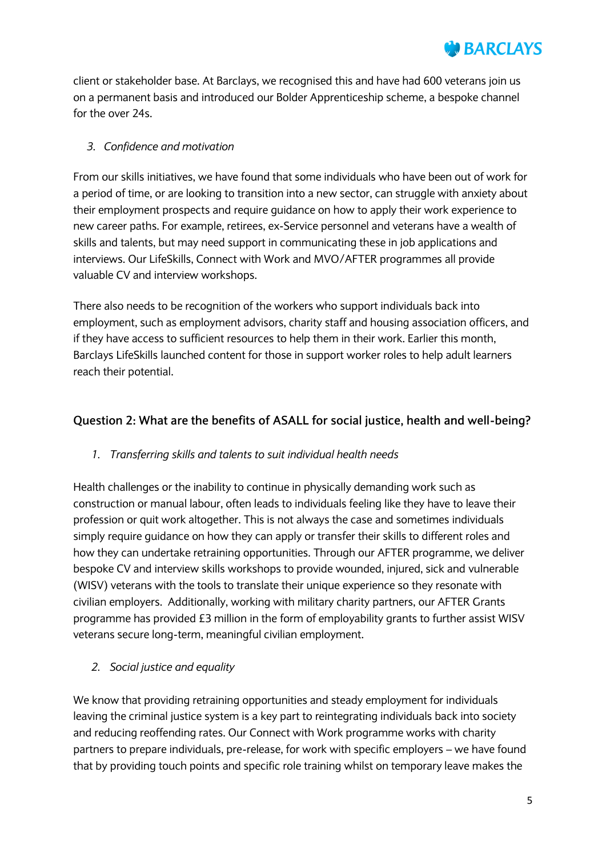

client or stakeholder base. At Barclays, we recognised this and have had 600 veterans join us on a permanent basis and introduced our Bolder Apprenticeship scheme, a bespoke channel for the over 24s.

## *3. Confidence and motivation*

From our skills initiatives, we have found that some individuals who have been out of work for a period of time, or are looking to transition into a new sector, can struggle with anxiety about their employment prospects and require guidance on how to apply their work experience to new career paths. For example, retirees, ex-Service personnel and veterans have a wealth of skills and talents, but may need support in communicating these in job applications and interviews. Our LifeSkills, Connect with Work and MVO/AFTER programmes all provide valuable CV and interview workshops.

There also needs to be recognition of the workers who support individuals back into employment, such as employment advisors, charity staff and housing association officers, and if they have access to sufficient resources to help them in their work. Earlier this month, Barclays LifeSkills launched content for those in support worker roles to help adult learners reach their potential.

## **Question 2: What are the benefits of ASALL for social justice, health and well-being?**

#### *1. Transferring skills and talents to suit individual health needs*

Health challenges or the inability to continue in physically demanding work such as construction or manual labour, often leads to individuals feeling like they have to leave their profession or quit work altogether. This is not always the case and sometimes individuals simply require guidance on how they can apply or transfer their skills to different roles and how they can undertake retraining opportunities. Through our AFTER programme, we deliver bespoke CV and interview skills workshops to provide wounded, injured, sick and vulnerable (WISV) veterans with the tools to translate their unique experience so they resonate with civilian employers. Additionally, working with military charity partners, our AFTER Grants programme has provided £3 million in the form of employability grants to further assist WISV veterans secure long-term, meaningful civilian employment.

## *2. Social justice and equality*

We know that providing retraining opportunities and steady employment for individuals leaving the criminal justice system is a key part to reintegrating individuals back into society and reducing reoffending rates. Our Connect with Work programme works with charity partners to prepare individuals, pre-release, for work with specific employers – we have found that by providing touch points and specific role training whilst on temporary leave makes the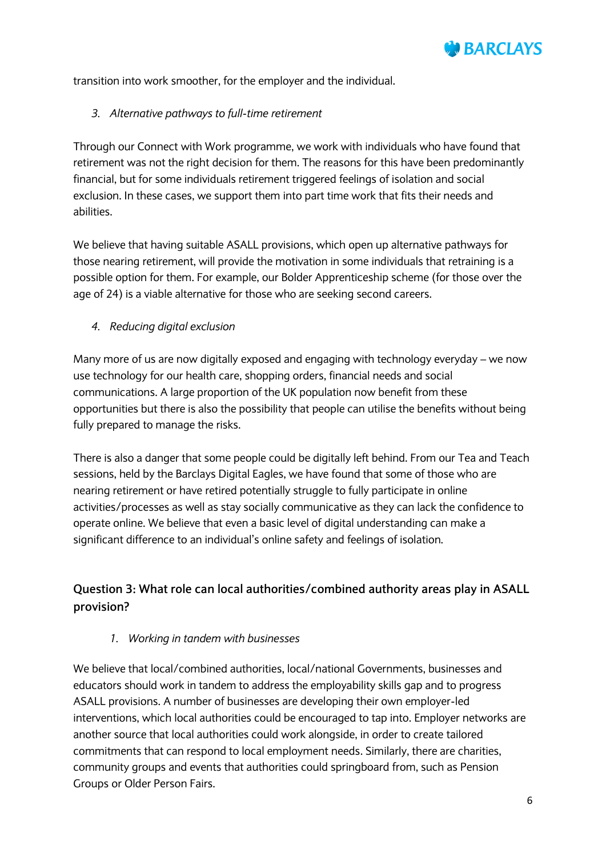

transition into work smoother, for the employer and the individual.

#### *3. Alternative pathways to full-time retirement*

Through our Connect with Work programme, we work with individuals who have found that retirement was not the right decision for them. The reasons for this have been predominantly financial, but for some individuals retirement triggered feelings of isolation and social exclusion. In these cases, we support them into part time work that fits their needs and abilities.

We believe that having suitable ASALL provisions, which open up alternative pathways for those nearing retirement, will provide the motivation in some individuals that retraining is a possible option for them. For example, our Bolder Apprenticeship scheme (for those over the age of 24) is a viable alternative for those who are seeking second careers.

#### *4. Reducing digital exclusion*

Many more of us are now digitally exposed and engaging with technology everyday – we now use technology for our health care, shopping orders, financial needs and social communications. A large proportion of the UK population now benefit from these opportunities but there is also the possibility that people can utilise the benefits without being fully prepared to manage the risks.

There is also a danger that some people could be digitally left behind. From our Tea and Teach sessions, held by the Barclays Digital Eagles, we have found that some of those who are nearing retirement or have retired potentially struggle to fully participate in online activities/processes as well as stay socially communicative as they can lack the confidence to operate online. We believe that even a basic level of digital understanding can make a significant difference to an individual's online safety and feelings of isolation.

# **Question 3: What role can local authorities/combined authority areas play in ASALL provision?**

#### *1. Working in tandem with businesses*

We believe that local/combined authorities, local/national Governments, businesses and educators should work in tandem to address the employability skills gap and to progress ASALL provisions. A number of businesses are developing their own employer-led interventions, which local authorities could be encouraged to tap into. Employer networks are another source that local authorities could work alongside, in order to create tailored commitments that can respond to local employment needs. Similarly, there are charities, community groups and events that authorities could springboard from, such as Pension Groups or Older Person Fairs.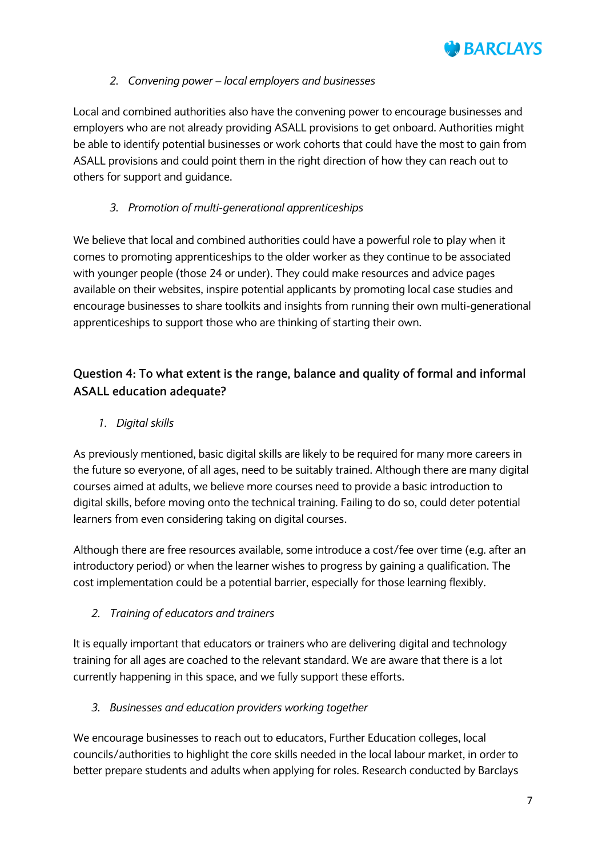

## *2. Convening power – local employers and businesses*

Local and combined authorities also have the convening power to encourage businesses and employers who are not already providing ASALL provisions to get onboard. Authorities might be able to identify potential businesses or work cohorts that could have the most to gain from ASALL provisions and could point them in the right direction of how they can reach out to others for support and guidance.

## *3. Promotion of multi-generational apprenticeships*

We believe that local and combined authorities could have a powerful role to play when it comes to promoting apprenticeships to the older worker as they continue to be associated with younger people (those 24 or under). They could make resources and advice pages available on their websites, inspire potential applicants by promoting local case studies and encourage businesses to share toolkits and insights from running their own multi-generational apprenticeships to support those who are thinking of starting their own.

# **Question 4: To what extent is the range, balance and quality of formal and informal ASALL education adequate?**

*1. Digital skills* 

As previously mentioned, basic digital skills are likely to be required for many more careers in the future so everyone, of all ages, need to be suitably trained. Although there are many digital courses aimed at adults, we believe more courses need to provide a basic introduction to digital skills, before moving onto the technical training. Failing to do so, could deter potential learners from even considering taking on digital courses.

Although there are free resources available, some introduce a cost/fee over time (e.g. after an introductory period) or when the learner wishes to progress by gaining a qualification. The cost implementation could be a potential barrier, especially for those learning flexibly.

*2. Training of educators and trainers*

It is equally important that educators or trainers who are delivering digital and technology training for all ages are coached to the relevant standard. We are aware that there is a lot currently happening in this space, and we fully support these efforts.

*3. Businesses and education providers working together*

We encourage businesses to reach out to educators, Further Education colleges, local councils/authorities to highlight the core skills needed in the local labour market, in order to better prepare students and adults when applying for roles. Research conducted by Barclays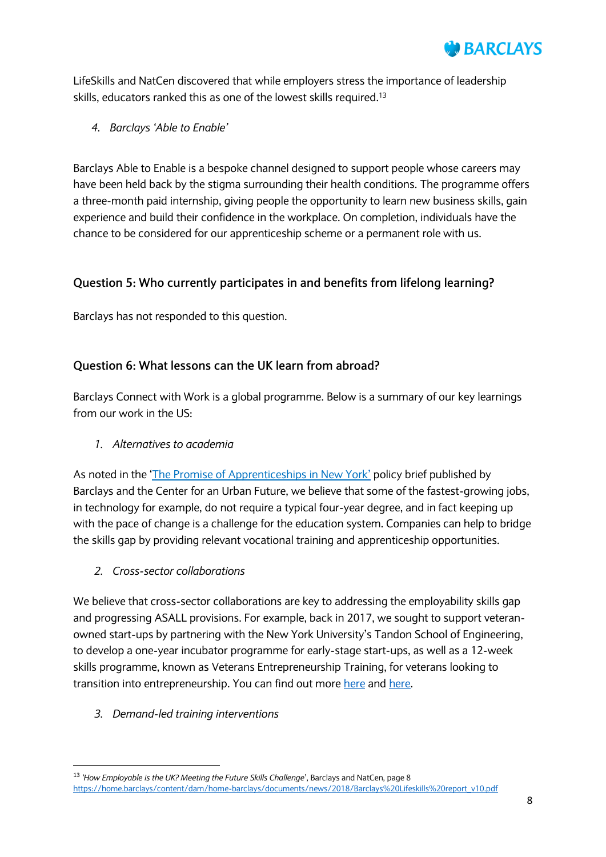

LifeSkills and NatCen discovered that while employers stress the importance of leadership skills, educators ranked this as one of the lowest skills required.<sup>13</sup>

*4. Barclays 'Able to Enable'*

Barclays Able to Enable is a bespoke channel designed to support people whose careers may have been held back by the stigma surrounding their health conditions. The programme offers a three-month paid internship, giving people the opportunity to learn new business skills, gain experience and build their confidence in the workplace. On completion, individuals have the chance to be considered for our apprenticeship scheme or a permanent role with us.

## **Question 5: Who currently participates in and benefits from lifelong learning?**

Barclays has not responded to this question.

## **Question 6: What lessons can the UK learn from abroad?**

Barclays Connect with Work is a global programme. Below is a summary of our key learnings from our work in the US:

*1. Alternatives to academia* 

As noted in the '[The Promise of Apprenticeships in New York](https://nycfuture.org/research/the-promise-of-apprenticeships-in-new-york)' policy brief published by Barclays and the Center for an Urban Future, we believe that some of the fastest-growing jobs, in technology for example, do not require a typical four-year degree, and in fact keeping up with the pace of change is a challenge for the education system. Companies can help to bridge the skills gap by providing relevant vocational training and apprenticeship opportunities.

*2. Cross-sector collaborations* 

We believe that cross-sector collaborations are key to addressing the employability skills gap and progressing ASALL provisions. For example, back in 2017, we sought to support veteranowned start-ups by partnering with the New York University's Tandon School of Engineering, to develop a one-year incubator programme for early-stage start-ups, as well as a 12-week skills programme, known as Veterans Entrepreneurship Training, for veterans looking to transition into entrepreneurship. You can find out mor[e here](https://www.investmentbank.barclays.com/news/barclays-nyu-supporting-veteran-entrepreneurs.html?icid=NYU_VFL_TW) and here.

*3. Demand-led training interventions*

**.** 

<sup>13</sup> *'How Employable is the UK? Meeting the Future Skills Challenge*', Barclays and NatCen, page 8 [https://home.barclays/content/dam/home-barclays/documents/news/2018/Barclays%20Lifeskills%20report\\_v10.pdf](https://home.barclays/content/dam/home-barclays/documents/news/2018/Barclays%20Lifeskills%20report_v10.pdf)